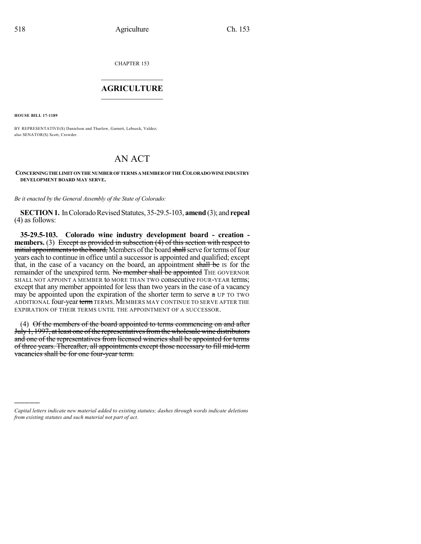CHAPTER 153

## $\mathcal{L}_\text{max}$  . The set of the set of the set of the set of the set of the set of the set of the set of the set of the set of the set of the set of the set of the set of the set of the set of the set of the set of the set **AGRICULTURE**  $\_$   $\_$   $\_$   $\_$   $\_$   $\_$   $\_$   $\_$

**HOUSE BILL 17-1189**

)))))

BY REPRESENTATIVE(S) Danielson and Thurlow, Garnett, Lebsock, Valdez; also SENATOR(S) Scott, Crowder.

## AN ACT

## **CONCERNINGTHELIMITONTHENUMBEROFTERMS AMEMBEROFTHECOLORADOWINEINDUSTRY DEVELOPMENT BOARD MAY SERVE.**

*Be it enacted by the General Assembly of the State of Colorado:*

**SECTION 1.** In Colorado Revised Statutes, 35-29.5-103, **amend** (3); and **repeal** (4) as follows:

**35-29.5-103. Colorado wine industry development board - creation members.** (3) Except as provided in subsection (4) of this section with respect to initial appointments to the board, Members of the board shall serve for terms of four years each to continue in office until a successor is appointed and qualified; except that, in the case of a vacancy on the board, an appointment shall be IS for the remainder of the unexpired term. No member shall be appointed THE GOVERNOR SHALL NOT APPOINT A MEMBER to MORE THAN TWO consecutive FOUR-YEAR terms; except that any member appointed for less than two years in the case of a vacancy may be appointed upon the expiration of the shorter term to serve a UP TO TWO ADDITIONAL four-year term TERMS. MEMBERS MAY CONTINUE TO SERVE AFTER THE EXPIRATION OF THEIR TERMS UNTIL THE APPOINTMENT OF A SUCCESSOR.

(4) Of the members of the board appointed to terms commencing on and after July 1, 1997, at least one of the representatives from the wholesale wine distributors and one of the representatives from licensed wineries shall be appointed for terms of three years. Thereafter, all appointments except those necessary to fill mid-term vacancies shall be for one four-year term.

*Capital letters indicate new material added to existing statutes; dashes through words indicate deletions from existing statutes and such material not part of act.*